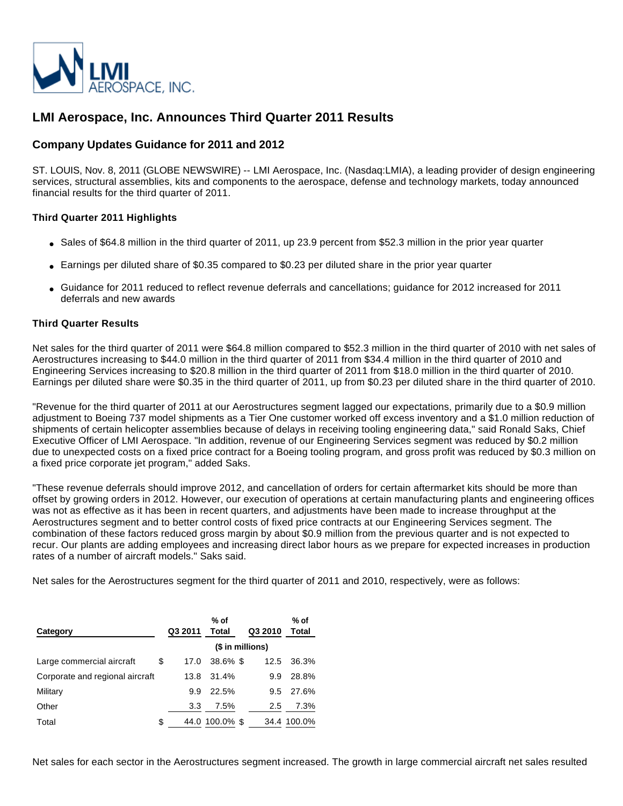

# **LMI Aerospace, Inc. Announces Third Quarter 2011 Results**

# **Company Updates Guidance for 2011 and 2012**

ST. LOUIS, Nov. 8, 2011 (GLOBE NEWSWIRE) -- LMI Aerospace, Inc. (Nasdaq:LMIA), a leading provider of design engineering services, structural assemblies, kits and components to the aerospace, defense and technology markets, today announced financial results for the third quarter of 2011.

## **Third Quarter 2011 Highlights**

- Sales of \$64.8 million in the third quarter of 2011, up 23.9 percent from \$52.3 million in the prior year quarter
- Earnings per diluted share of \$0.35 compared to \$0.23 per diluted share in the prior year quarter
- Guidance for 2011 reduced to reflect revenue deferrals and cancellations; guidance for 2012 increased for 2011 deferrals and new awards

## **Third Quarter Results**

Net sales for the third quarter of 2011 were \$64.8 million compared to \$52.3 million in the third quarter of 2010 with net sales of Aerostructures increasing to \$44.0 million in the third quarter of 2011 from \$34.4 million in the third quarter of 2010 and Engineering Services increasing to \$20.8 million in the third quarter of 2011 from \$18.0 million in the third quarter of 2010. Earnings per diluted share were \$0.35 in the third quarter of 2011, up from \$0.23 per diluted share in the third quarter of 2010.

"Revenue for the third quarter of 2011 at our Aerostructures segment lagged our expectations, primarily due to a \$0.9 million adjustment to Boeing 737 model shipments as a Tier One customer worked off excess inventory and a \$1.0 million reduction of shipments of certain helicopter assemblies because of delays in receiving tooling engineering data," said Ronald Saks, Chief Executive Officer of LMI Aerospace. "In addition, revenue of our Engineering Services segment was reduced by \$0.2 million due to unexpected costs on a fixed price contract for a Boeing tooling program, and gross profit was reduced by \$0.3 million on a fixed price corporate jet program," added Saks.

"These revenue deferrals should improve 2012, and cancellation of orders for certain aftermarket kits should be more than offset by growing orders in 2012. However, our execution of operations at certain manufacturing plants and engineering offices was not as effective as it has been in recent quarters, and adjustments have been made to increase throughput at the Aerostructures segment and to better control costs of fixed price contracts at our Engineering Services segment. The combination of these factors reduced gross margin by about \$0.9 million from the previous quarter and is not expected to recur. Our plants are adding employees and increasing direct labor hours as we prepare for expected increases in production rates of a number of aircraft models." Saks said.

Net sales for the Aerostructures segment for the third quarter of 2011 and 2010, respectively, were as follows:

| Category                        | Q3 2011    | % of<br>Total    | Q3 2010 | % of<br>Total |
|---------------------------------|------------|------------------|---------|---------------|
|                                 |            | (\$ in millions) |         |               |
| Large commercial aircraft       | \$<br>17.0 | $38.6\%$ \$      | 12.5    | 36.3%         |
| Corporate and regional aircraft | 13.8       | 31.4%            | 9.9     | 28.8%         |
| Military                        | 9.9        | 22.5%            | 9.5     | 27.6%         |
| Other                           | 3.3        | 7.5%             | 2.5     | 7.3%          |
| Total                           | \$         | 44.0 100.0% \$   |         | 34.4 100.0%   |

Net sales for each sector in the Aerostructures segment increased. The growth in large commercial aircraft net sales resulted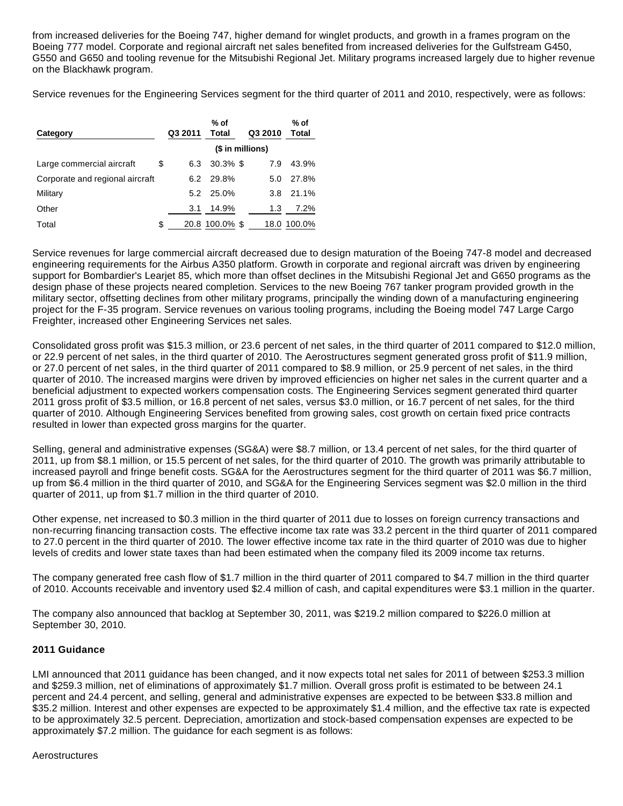from increased deliveries for the Boeing 747, higher demand for winglet products, and growth in a frames program on the Boeing 777 model. Corporate and regional aircraft net sales benefited from increased deliveries for the Gulfstream G450, G550 and G650 and tooling revenue for the Mitsubishi Regional Jet. Military programs increased largely due to higher revenue on the Blackhawk program.

Service revenues for the Engineering Services segment for the third quarter of 2011 and 2010, respectively, were as follows:

| Category                        | Q3 2011   | % of<br><b>Total</b> | Q3 2010          | % of<br>Total |
|---------------------------------|-----------|----------------------|------------------|---------------|
|                                 |           |                      | (\$ in millions) |               |
| Large commercial aircraft       | \$<br>6.3 | $30.3\%$ \$          | 7.9              | 43.9%         |
| Corporate and regional aircraft | 6.2       | 29.8%                | 5.0              | 27.8%         |
| Military                        | 5.2       | 25.0%                | 3.8              | 21.1%         |
| Other                           | 3.1       | 14.9%                | 1.3              | 7.2%          |
| Total                           | \$        | 20.8 100.0% \$       |                  | 18.0 100.0%   |

Service revenues for large commercial aircraft decreased due to design maturation of the Boeing 747-8 model and decreased engineering requirements for the Airbus A350 platform. Growth in corporate and regional aircraft was driven by engineering support for Bombardier's Learjet 85, which more than offset declines in the Mitsubishi Regional Jet and G650 programs as the design phase of these projects neared completion. Services to the new Boeing 767 tanker program provided growth in the military sector, offsetting declines from other military programs, principally the winding down of a manufacturing engineering project for the F-35 program. Service revenues on various tooling programs, including the Boeing model 747 Large Cargo Freighter, increased other Engineering Services net sales.

Consolidated gross profit was \$15.3 million, or 23.6 percent of net sales, in the third quarter of 2011 compared to \$12.0 million, or 22.9 percent of net sales, in the third quarter of 2010. The Aerostructures segment generated gross profit of \$11.9 million, or 27.0 percent of net sales, in the third quarter of 2011 compared to \$8.9 million, or 25.9 percent of net sales, in the third quarter of 2010. The increased margins were driven by improved efficiencies on higher net sales in the current quarter and a beneficial adjustment to expected workers compensation costs. The Engineering Services segment generated third quarter 2011 gross profit of \$3.5 million, or 16.8 percent of net sales, versus \$3.0 million, or 16.7 percent of net sales, for the third quarter of 2010. Although Engineering Services benefited from growing sales, cost growth on certain fixed price contracts resulted in lower than expected gross margins for the quarter.

Selling, general and administrative expenses (SG&A) were \$8.7 million, or 13.4 percent of net sales, for the third quarter of 2011, up from \$8.1 million, or 15.5 percent of net sales, for the third quarter of 2010. The growth was primarily attributable to increased payroll and fringe benefit costs. SG&A for the Aerostructures segment for the third quarter of 2011 was \$6.7 million, up from \$6.4 million in the third quarter of 2010, and SG&A for the Engineering Services segment was \$2.0 million in the third quarter of 2011, up from \$1.7 million in the third quarter of 2010.

Other expense, net increased to \$0.3 million in the third quarter of 2011 due to losses on foreign currency transactions and non-recurring financing transaction costs. The effective income tax rate was 33.2 percent in the third quarter of 2011 compared to 27.0 percent in the third quarter of 2010. The lower effective income tax rate in the third quarter of 2010 was due to higher levels of credits and lower state taxes than had been estimated when the company filed its 2009 income tax returns.

The company generated free cash flow of \$1.7 million in the third quarter of 2011 compared to \$4.7 million in the third quarter of 2010. Accounts receivable and inventory used \$2.4 million of cash, and capital expenditures were \$3.1 million in the quarter.

The company also announced that backlog at September 30, 2011, was \$219.2 million compared to \$226.0 million at September 30, 2010.

### **2011 Guidance**

LMI announced that 2011 guidance has been changed, and it now expects total net sales for 2011 of between \$253.3 million and \$259.3 million, net of eliminations of approximately \$1.7 million. Overall gross profit is estimated to be between 24.1 percent and 24.4 percent, and selling, general and administrative expenses are expected to be between \$33.8 million and \$35.2 million. Interest and other expenses are expected to be approximately \$1.4 million, and the effective tax rate is expected to be approximately 32.5 percent. Depreciation, amortization and stock-based compensation expenses are expected to be approximately \$7.2 million. The guidance for each segment is as follows:

### Aerostructures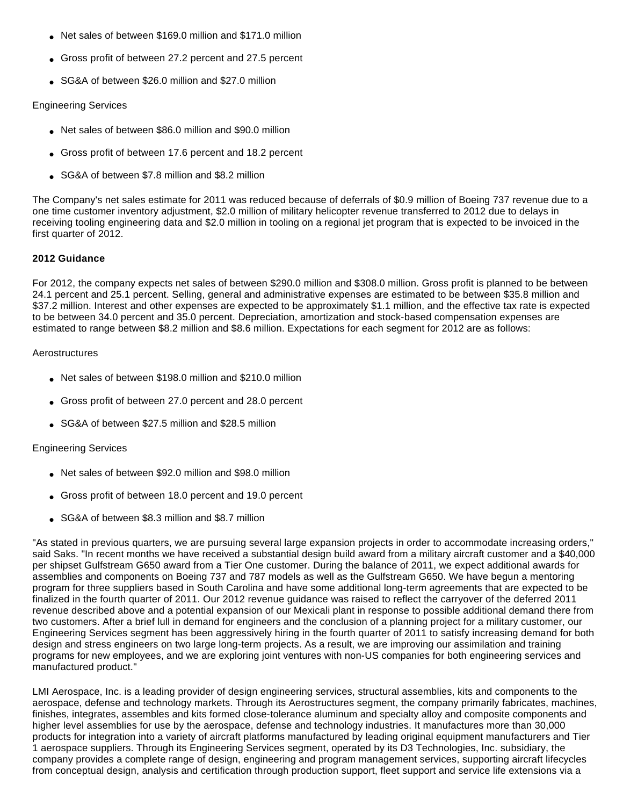- Net sales of between \$169.0 million and \$171.0 million
- Gross profit of between 27.2 percent and 27.5 percent
- SG&A of between \$26.0 million and \$27.0 million

### Engineering Services

- Net sales of between \$86.0 million and \$90.0 million
- Gross profit of between 17.6 percent and 18.2 percent
- SG&A of between \$7.8 million and \$8.2 million

The Company's net sales estimate for 2011 was reduced because of deferrals of \$0.9 million of Boeing 737 revenue due to a one time customer inventory adjustment, \$2.0 million of military helicopter revenue transferred to 2012 due to delays in receiving tooling engineering data and \$2.0 million in tooling on a regional jet program that is expected to be invoiced in the first quarter of 2012.

## **2012 Guidance**

For 2012, the company expects net sales of between \$290.0 million and \$308.0 million. Gross profit is planned to be between 24.1 percent and 25.1 percent. Selling, general and administrative expenses are estimated to be between \$35.8 million and \$37.2 million. Interest and other expenses are expected to be approximately \$1.1 million, and the effective tax rate is expected to be between 34.0 percent and 35.0 percent. Depreciation, amortization and stock-based compensation expenses are estimated to range between \$8.2 million and \$8.6 million. Expectations for each segment for 2012 are as follows:

## **Aerostructures**

- Net sales of between \$198.0 million and \$210.0 million
- Gross profit of between 27.0 percent and 28.0 percent
- SG&A of between \$27.5 million and \$28.5 million

### Engineering Services

- Net sales of between \$92.0 million and \$98.0 million
- Gross profit of between 18.0 percent and 19.0 percent
- SG&A of between \$8.3 million and \$8.7 million

"As stated in previous quarters, we are pursuing several large expansion projects in order to accommodate increasing orders," said Saks. "In recent months we have received a substantial design build award from a military aircraft customer and a \$40,000 per shipset Gulfstream G650 award from a Tier One customer. During the balance of 2011, we expect additional awards for assemblies and components on Boeing 737 and 787 models as well as the Gulfstream G650. We have begun a mentoring program for three suppliers based in South Carolina and have some additional long-term agreements that are expected to be finalized in the fourth quarter of 2011. Our 2012 revenue guidance was raised to reflect the carryover of the deferred 2011 revenue described above and a potential expansion of our Mexicali plant in response to possible additional demand there from two customers. After a brief lull in demand for engineers and the conclusion of a planning project for a military customer, our Engineering Services segment has been aggressively hiring in the fourth quarter of 2011 to satisfy increasing demand for both design and stress engineers on two large long-term projects. As a result, we are improving our assimilation and training programs for new employees, and we are exploring joint ventures with non-US companies for both engineering services and manufactured product."

LMI Aerospace, Inc. is a leading provider of design engineering services, structural assemblies, kits and components to the aerospace, defense and technology markets. Through its Aerostructures segment, the company primarily fabricates, machines, finishes, integrates, assembles and kits formed close-tolerance aluminum and specialty alloy and composite components and higher level assemblies for use by the aerospace, defense and technology industries. It manufactures more than 30,000 products for integration into a variety of aircraft platforms manufactured by leading original equipment manufacturers and Tier 1 aerospace suppliers. Through its Engineering Services segment, operated by its D3 Technologies, Inc. subsidiary, the company provides a complete range of design, engineering and program management services, supporting aircraft lifecycles from conceptual design, analysis and certification through production support, fleet support and service life extensions via a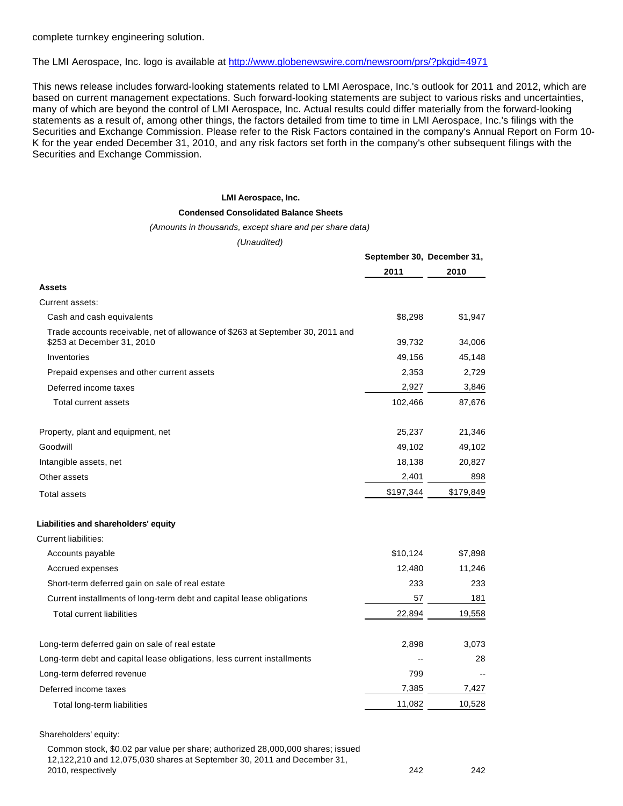complete turnkey engineering solution.

## The LMI Aerospace, Inc. logo is available at <http://www.globenewswire.com/newsroom/prs/?pkgid=4971>

This news release includes forward-looking statements related to LMI Aerospace, Inc.'s outlook for 2011 and 2012, which are based on current management expectations. Such forward-looking statements are subject to various risks and uncertainties, many of which are beyond the control of LMI Aerospace, Inc. Actual results could differ materially from the forward-looking statements as a result of, among other things, the factors detailed from time to time in LMI Aerospace, Inc.'s filings with the Securities and Exchange Commission. Please refer to the Risk Factors contained in the company's Annual Report on Form 10- K for the year ended December 31, 2010, and any risk factors set forth in the company's other subsequent filings with the Securities and Exchange Commission.

#### **LMI Aerospace, Inc.**

#### **Condensed Consolidated Balance Sheets**

#### (Amounts in thousands, except share and per share data)

(Unaudited)

|                                                                                                              | September 30, December 31, |           |  |
|--------------------------------------------------------------------------------------------------------------|----------------------------|-----------|--|
|                                                                                                              | 2011                       | 2010      |  |
| <b>Assets</b>                                                                                                |                            |           |  |
| Current assets:                                                                                              |                            |           |  |
| Cash and cash equivalents                                                                                    | \$8,298                    | \$1,947   |  |
| Trade accounts receivable, net of allowance of \$263 at September 30, 2011 and<br>\$253 at December 31, 2010 | 39,732                     | 34,006    |  |
| Inventories                                                                                                  | 49,156                     | 45,148    |  |
| Prepaid expenses and other current assets                                                                    | 2,353                      | 2,729     |  |
| Deferred income taxes                                                                                        | 2,927                      | 3,846     |  |
| <b>Total current assets</b>                                                                                  | 102,466                    | 87,676    |  |
| Property, plant and equipment, net                                                                           | 25,237                     | 21,346    |  |
| Goodwill                                                                                                     | 49,102                     | 49,102    |  |
| Intangible assets, net                                                                                       | 18,138                     | 20,827    |  |
| Other assets                                                                                                 | 2,401                      | 898       |  |
| <b>Total assets</b>                                                                                          | \$197,344                  | \$179,849 |  |
| Liabilities and shareholders' equity                                                                         |                            |           |  |
| <b>Current liabilities:</b>                                                                                  |                            |           |  |
| Accounts payable                                                                                             | \$10,124                   | \$7,898   |  |
| Accrued expenses                                                                                             | 12,480                     | 11,246    |  |
| Short-term deferred gain on sale of real estate                                                              | 233                        | 233       |  |
| Current installments of long-term debt and capital lease obligations                                         | 57                         | 181       |  |
| <b>Total current liabilities</b>                                                                             | 22,894                     | 19,558    |  |
| Long-term deferred gain on sale of real estate                                                               | 2,898                      | 3,073     |  |
| Long-term debt and capital lease obligations, less current installments                                      |                            | 28        |  |
| Long-term deferred revenue                                                                                   | 799                        |           |  |
| Deferred income taxes                                                                                        | 7,385                      | 7,427     |  |
| Total long-term liabilities                                                                                  | 11,082                     | 10,528    |  |

#### Shareholders' equity:

Common stock, \$0.02 par value per share; authorized 28,000,000 shares; issued 12,122,210 and 12,075,030 shares at September 30, 2011 and December 31, 2010, respectively 242 242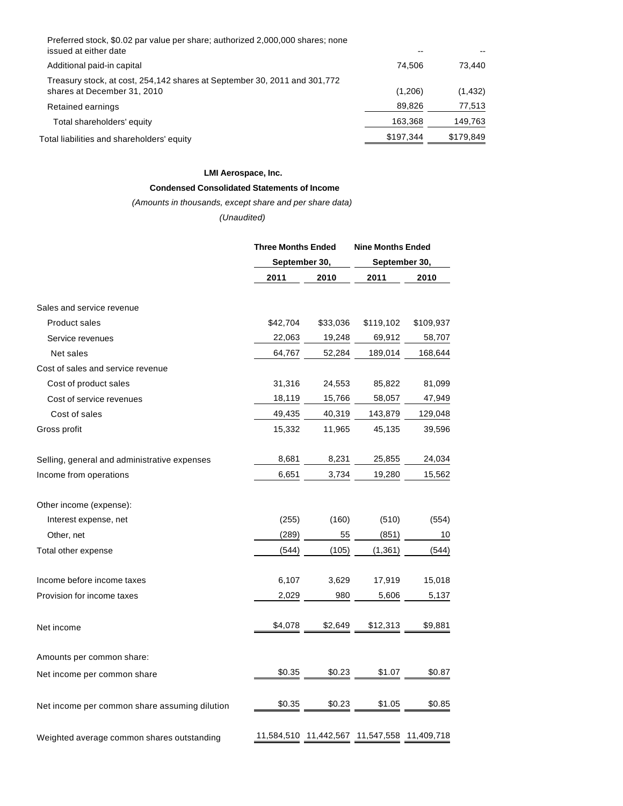| Preferred stock, \$0.02 par value per share; authorized 2,000,000 shares; none<br>issued at either date  |           |           |
|----------------------------------------------------------------------------------------------------------|-----------|-----------|
| Additional paid-in capital                                                                               | 74.506    | 73.440    |
| Treasury stock, at cost, 254,142 shares at September 30, 2011 and 301,772<br>shares at December 31, 2010 | (1,206)   | (1, 432)  |
| Retained earnings                                                                                        | 89.826    | 77,513    |
| Total shareholders' equity                                                                               | 163,368   | 149,763   |
| Total liabilities and shareholders' equity                                                               | \$197.344 | \$179,849 |

### **LMI Aerospace, Inc.**

# **Condensed Consolidated Statements of Income**

## (Amounts in thousands, except share and per share data)

# (Unaudited)

|                                               | <b>Three Months Ended</b><br>September 30, |          | <b>Nine Months Ended</b><br>September 30,   |           |  |
|-----------------------------------------------|--------------------------------------------|----------|---------------------------------------------|-----------|--|
|                                               |                                            |          |                                             |           |  |
|                                               | 2011                                       | 2010     | 2011                                        | 2010      |  |
| Sales and service revenue                     |                                            |          |                                             |           |  |
| <b>Product sales</b>                          | \$42,704                                   | \$33,036 | \$119,102                                   | \$109,937 |  |
| Service revenues                              | 22,063                                     | 19,248   | 69,912                                      | 58,707    |  |
| Net sales                                     | 64,767                                     | 52,284   | 189,014                                     | 168,644   |  |
| Cost of sales and service revenue             |                                            |          |                                             |           |  |
| Cost of product sales                         | 31,316                                     | 24,553   | 85,822                                      | 81,099    |  |
| Cost of service revenues                      | 18,119                                     | 15,766   | 58,057                                      | 47,949    |  |
| Cost of sales                                 | 49,435                                     | 40,319   | 143,879                                     | 129,048   |  |
| Gross profit                                  | 15,332                                     | 11,965   | 45,135                                      | 39,596    |  |
| Selling, general and administrative expenses  | 8,681                                      | 8,231    | 25,855                                      | 24,034    |  |
| Income from operations                        | 6,651                                      | 3,734    | 19,280                                      | 15,562    |  |
| Other income (expense):                       |                                            |          |                                             |           |  |
| Interest expense, net                         | (255)                                      | (160)    | (510)                                       | (554)     |  |
| Other, net                                    | (289)                                      | 55       | (851)                                       | 10        |  |
| Total other expense                           | (544)                                      | (105)    | (1, 361)                                    | (544)     |  |
| Income before income taxes                    | 6,107                                      | 3,629    | 17,919                                      | 15,018    |  |
| Provision for income taxes                    | 2,029                                      | 980      | 5,606                                       | 5,137     |  |
| Net income                                    | \$4,078                                    | \$2,649  | \$12,313                                    | \$9,881   |  |
| Amounts per common share:                     |                                            |          |                                             |           |  |
| Net income per common share                   | \$0.35                                     | \$0.23   | \$1.07                                      | \$0.87    |  |
| Net income per common share assuming dilution | \$0.35                                     | \$0.23   | \$1.05                                      | \$0.85    |  |
| Weighted average common shares outstanding    |                                            |          | 11,584,510 11,442,567 11,547,558 11,409,718 |           |  |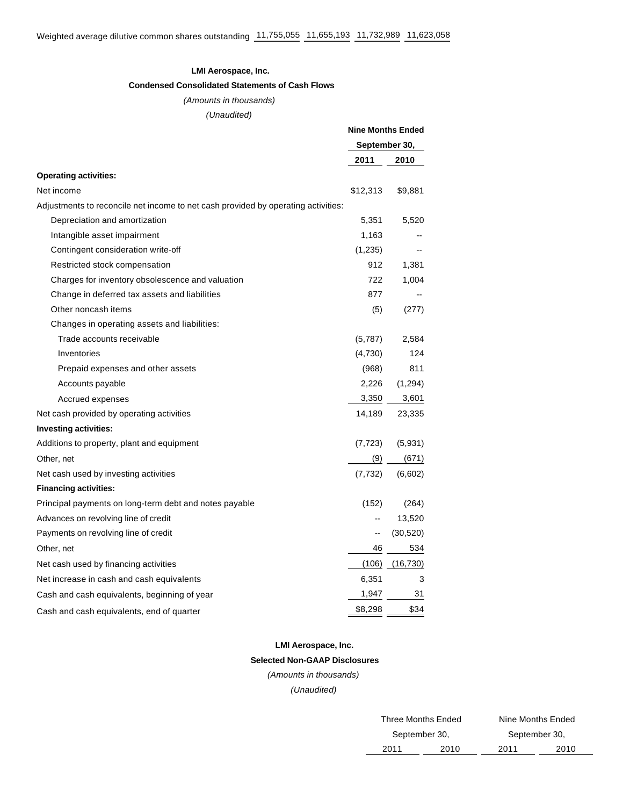### **LMI Aerospace, Inc.**

### **Condensed Consolidated Statements of Cash Flows**

### (Amounts in thousands)

(Unaudited)

|                                                                                   | <b>Nine Months Ended</b><br>September 30, |           |
|-----------------------------------------------------------------------------------|-------------------------------------------|-----------|
|                                                                                   |                                           |           |
|                                                                                   | 2011                                      | 2010      |
| <b>Operating activities:</b>                                                      |                                           |           |
| Net income                                                                        | \$12,313                                  | \$9,881   |
| Adjustments to reconcile net income to net cash provided by operating activities: |                                           |           |
| Depreciation and amortization                                                     | 5,351                                     | 5,520     |
| Intangible asset impairment                                                       | 1,163                                     |           |
| Contingent consideration write-off                                                | (1,235)                                   |           |
| Restricted stock compensation                                                     | 912                                       | 1,381     |
| Charges for inventory obsolescence and valuation                                  | 722                                       | 1,004     |
| Change in deferred tax assets and liabilities                                     | 877                                       |           |
| Other noncash items                                                               | (5)                                       | (277)     |
| Changes in operating assets and liabilities:                                      |                                           |           |
| Trade accounts receivable                                                         | (5,787)                                   | 2,584     |
| Inventories                                                                       | (4,730)                                   | 124       |
| Prepaid expenses and other assets                                                 | (968)                                     | 811       |
| Accounts payable                                                                  | 2,226                                     | (1,294)   |
| Accrued expenses                                                                  | 3,350                                     | 3,601     |
| Net cash provided by operating activities                                         | 14,189                                    | 23,335    |
| Investing activities:                                                             |                                           |           |
| Additions to property, plant and equipment                                        | (7, 723)                                  | (5,931)   |
| Other, net                                                                        | (9)                                       | (671)     |
| Net cash used by investing activities                                             | (7, 732)                                  | (6,602)   |
| <b>Financing activities:</b>                                                      |                                           |           |
| Principal payments on long-term debt and notes payable                            | (152)                                     | (264)     |
| Advances on revolving line of credit                                              | --                                        | 13,520    |
| Payments on revolving line of credit                                              | --                                        | (30, 520) |
| Other, net                                                                        | 46                                        | 534       |
| Net cash used by financing activities                                             | (106)                                     | (16, 730) |
| Net increase in cash and cash equivalents                                         | 6,351                                     | 3         |
| Cash and cash equivalents, beginning of year                                      | 1,947                                     | 31        |
| Cash and cash equivalents, end of quarter                                         | \$8,298                                   | \$34      |

# **LMI Aerospace, Inc. Selected Non-GAAP Disclosures**

(Amounts in thousands)

(Unaudited)

|      | Three Months Ended | Nine Months Ended |      |  |  |
|------|--------------------|-------------------|------|--|--|
|      | September 30,      | September 30,     |      |  |  |
| 2011 | 2010               | 2011              | 2010 |  |  |